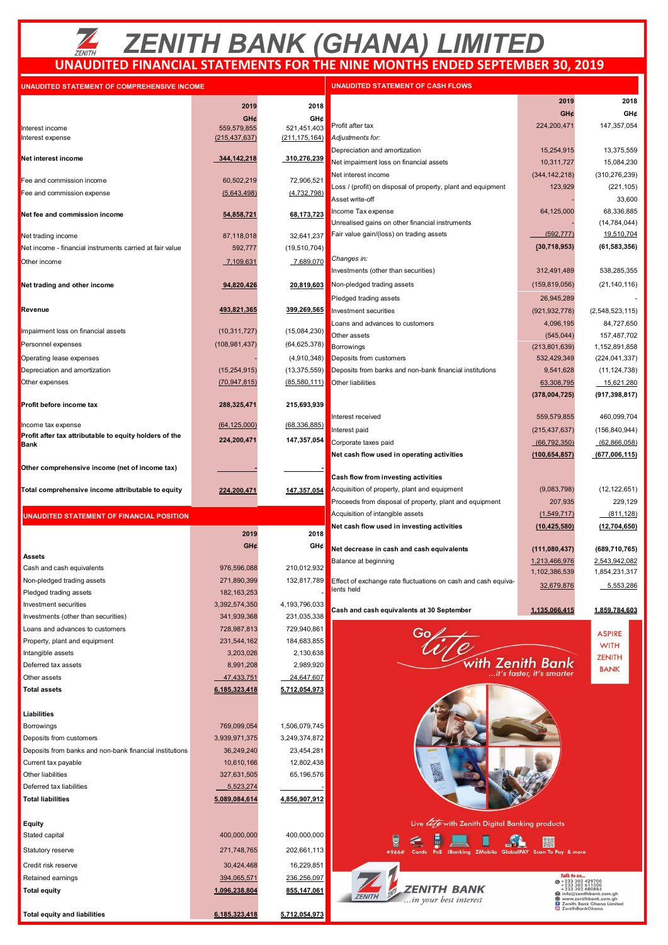# $\overline{\mathbb{Z}}$ *ZENITH BANK (GHANA) LIMITED* **UNAUDITED FINANCIAL STATEMENTS FOR THE NINE MONTHS ENDED SEPTEMBER 30, 2019**

## **DITED STATEMENT OF**

# **UNAUREMENT OF CASH FLOWS**

|                                                          |                              |                                |                                                                                             | 2019                                                   | 2018                                                                  |
|----------------------------------------------------------|------------------------------|--------------------------------|---------------------------------------------------------------------------------------------|--------------------------------------------------------|-----------------------------------------------------------------------|
|                                                          | 2019                         | 2018                           |                                                                                             | GHC                                                    | GH¢                                                                   |
| Interest income                                          | GH¢<br>559,579,855           | GH¢<br>521,451,403             | Profit after tax                                                                            | 224,200,471                                            | 147,357,054                                                           |
| Interest expense                                         | (215, 437, 637)              | (211, 175, 164)                | Adjustments for:                                                                            |                                                        |                                                                       |
|                                                          |                              |                                | Depreciation and amortization                                                               | 15,254,915                                             | 13,375,559                                                            |
| Net interest income                                      | 344, 142, 218                | 310,276,239                    | Net impairment loss on financial assets                                                     | 10,311,727                                             | 15,084,230                                                            |
| Fee and commission income                                | 60,502,219                   | 72,906,521                     | Net interest income                                                                         | (344, 142, 218)                                        | (310, 276, 239)                                                       |
| Fee and commission expense                               | (5,643,498)                  | (4, 732, 798)                  | Loss / (profit) on disposal of property, plant and equipment                                | 123,929                                                | (221, 105)                                                            |
|                                                          |                              |                                | Asset write-off                                                                             |                                                        | 33,600                                                                |
| Net fee and commission income                            | 54,858,721                   | 68,173,723                     | Income Tax expense                                                                          | 64,125,000                                             | 68,336,885                                                            |
|                                                          |                              |                                | Unrealised gains on other financial instruments<br>Fair value gain/(loss) on trading assets | (592, 777)                                             | (14, 784, 044)<br>19,510,704                                          |
| Net trading income                                       | 87,118,018                   | 32,641,237                     |                                                                                             | (30, 718, 953)                                         | (61, 583, 356)                                                        |
| Net income - financial instruments carried at fair value | 592,777                      | (19, 510, 704)                 | Changes in:                                                                                 |                                                        |                                                                       |
| Other income                                             | 7,109,631                    | 7,689,070                      | Investments (other than securities)                                                         | 312,491,489                                            | 538,285,355                                                           |
| Net trading and other income                             | 94,820,426                   | 20,819,603                     | Non-pledged trading assets                                                                  | (159, 819, 056)                                        | (21, 140, 116)                                                        |
|                                                          |                              |                                | Pledged trading assets                                                                      | 26,945,289                                             |                                                                       |
| Revenue                                                  | 493,821,365                  | 399,269,565                    | Investment securities                                                                       | (921, 932, 778)                                        | (2,548,523,115)                                                       |
|                                                          |                              |                                | Loans and advances to customers                                                             | 4,096,195                                              | 84,727,650                                                            |
| Impairment loss on financial assets                      | (10, 311, 727)               | (15,084,230)                   | Other assets                                                                                | (545, 044)                                             | 157,487,702                                                           |
| Personnel expenses                                       | (108, 981, 437)              | (64, 625, 378)                 | Borrowings                                                                                  | (213, 801, 639)                                        | 1,152,891,858                                                         |
| Operating lease expenses                                 |                              | (4,910,348)                    | Deposits from customers                                                                     | 532,429,349                                            | (224, 041, 337)                                                       |
| Depreciation and amortization                            | (15, 254, 915)               | (13, 375, 559)                 | Deposits from banks and non-bank financial institutions                                     | 9,541,628                                              | (11, 124, 738)                                                        |
| Other expenses                                           | (70, 947, 815)               | (85,580,111)                   | Other liabilities                                                                           | 63,308,795                                             | 15,621,280                                                            |
|                                                          |                              |                                |                                                                                             | (378,004,725)                                          | (917, 398, 817)                                                       |
| Profit before income tax                                 | 288,325,471                  | 215,693,939                    |                                                                                             |                                                        |                                                                       |
| Income tax expense                                       | (64, 125, 000)               | (68, 336, 885)                 | Interest received                                                                           | 559,579,855                                            | 460,099,704                                                           |
| Profit after tax attributable to equity holders of the   | 224,200,471                  | 147,357,054                    | Interest paid                                                                               | (215, 437, 637)                                        | (156, 840, 944)                                                       |
| <b>Bank</b>                                              |                              |                                | Corporate taxes paid                                                                        | (66, 792, 350)                                         | (62,866,058)                                                          |
|                                                          |                              |                                | Net cash flow used in operating activities                                                  | (100, 654, 857)                                        | (677,006,115)                                                         |
| Other comprehensive income (net of income tax)           |                              |                                | Cash flow from investing activities                                                         |                                                        |                                                                       |
| Total comprehensive income attributable to equity        | 224.200.471                  | 147.357.054                    | Acquisition of property, plant and equipment                                                | (9,083,798)                                            | (12, 122, 651)                                                        |
|                                                          |                              |                                | Proceeds from disposal of property, plant and equipment                                     | 207,935                                                | 229,129                                                               |
|                                                          |                              |                                | Acquisition of intangible assets                                                            | (1, 549, 717)                                          | (811, 128)                                                            |
| UNAUDITED STATEMENT OF FINANCIAL POSITION                |                              |                                |                                                                                             |                                                        |                                                                       |
|                                                          |                              |                                | Net cash flow used in investing activities                                                  | (10, 425, 580)                                         | (12,704,650)                                                          |
|                                                          | 2019                         | 2018                           |                                                                                             |                                                        |                                                                       |
| <b>Assets</b>                                            | GH¢                          | GH¢                            | Net decrease in cash and cash equivalents                                                   | (111,080,437)                                          | (689, 710, 765)                                                       |
| Cash and cash equivalents                                | 976,596,088                  | 210,012,932                    | Balance at beginning                                                                        | 1,213,466,976                                          | 2,543,942,082                                                         |
| Non-pledged trading assets                               | 271,890,399                  | 132,817,789                    | Effect of exchange rate fluctuations on cash and cash equiva-                               | 1,102,386,539                                          | 1,854,231,317                                                         |
| Pledged trading assets                                   | 182, 163, 253                |                                | lents held                                                                                  | 32,679,876                                             | 5,553,286                                                             |
| Investment securities                                    | 3,392,574,350                | 4,193,796,033                  |                                                                                             |                                                        |                                                                       |
| Investments (other than securities)                      | 341,939,368                  | 231,035,338                    | Cash and cash equivalents at 30 September                                                   | 1.135.066.415                                          | 1,859,784,603                                                         |
| Loans and advances to customers                          | 728,987,813                  | 729,940,861                    |                                                                                             |                                                        | <b>ASPIRE</b>                                                         |
| Property, plant and equipment                            | 231,544,162                  | 184,683,855                    |                                                                                             |                                                        | <b>WITH</b>                                                           |
| Intangible assets                                        | 3,203,026                    | 2,130,638                      |                                                                                             |                                                        | <b>ZENITH</b>                                                         |
| Deferred tax assets                                      | 8,991,208                    | 2,989,920                      |                                                                                             | with Zenith Bank                                       | <b>BANK</b>                                                           |
| Other assets                                             | 47,433,751                   | 24,647,607                     |                                                                                             | it's faster, it's smarter                              |                                                                       |
| <b>Total assets</b>                                      | 6.185,323,418                | 5,712,054,973                  |                                                                                             |                                                        |                                                                       |
|                                                          |                              |                                |                                                                                             |                                                        |                                                                       |
| Liabilities                                              |                              |                                |                                                                                             |                                                        |                                                                       |
| Borrowings<br>Deposits from customers                    | 769,099,054<br>3,939,971,375 | 1,506,079,745<br>3,249,374,872 |                                                                                             |                                                        |                                                                       |
| Deposits from banks and non-bank financial institutions  | 36,249,240                   | 23,454,281                     |                                                                                             |                                                        |                                                                       |
| Current tax payable                                      | 10,610,166                   | 12,802,438                     |                                                                                             |                                                        |                                                                       |
| Other liabilities                                        | 327,631,505                  | 65,196,576                     |                                                                                             |                                                        |                                                                       |
| Deferred tax liabilities                                 | 5,523,274                    |                                |                                                                                             |                                                        |                                                                       |
| <b>Total liabilities</b>                                 | 5,089,084,614                | 4,856,907,912                  |                                                                                             |                                                        |                                                                       |
|                                                          |                              |                                |                                                                                             |                                                        |                                                                       |
| <b>Equity</b>                                            |                              |                                | Live <i><b>life</b></i> with Zenith Digital Banking products                                |                                                        |                                                                       |
| Stated capital                                           | 400,000,000                  | 400,000,000                    |                                                                                             |                                                        |                                                                       |
| Statutory reserve                                        | 271,748,765                  | 202,661,113                    | ¥<br>*966#<br>PoS<br><b>ZMobile</b><br><b>iBanking</b>                                      | GlobalPAY Scan To Pay & more                           |                                                                       |
| Credit risk reserve                                      | 30,424,468                   | 16,229,851                     |                                                                                             |                                                        |                                                                       |
| Retained earnings                                        | 394,065,571                  | 236,256,097                    |                                                                                             | Talk to us                                             |                                                                       |
| <b>Total equity</b>                                      | 1,096,238,804                | 855,147,061                    | <b>ZENITH BANK</b>                                                                          | 0+233 302 429700<br>+233 302 611500<br>+233 302 680884 | info@zenithbank.com.gh                                                |
| <b>Total equity and liabilities</b>                      | 6,185,323,418                | 5,712,054,973                  | ZENITH<br>in your best interest                                                             |                                                        | www.zenithbank.com.gh<br>Zenith Bank Ghana Limited<br>ZenithBankGhana |